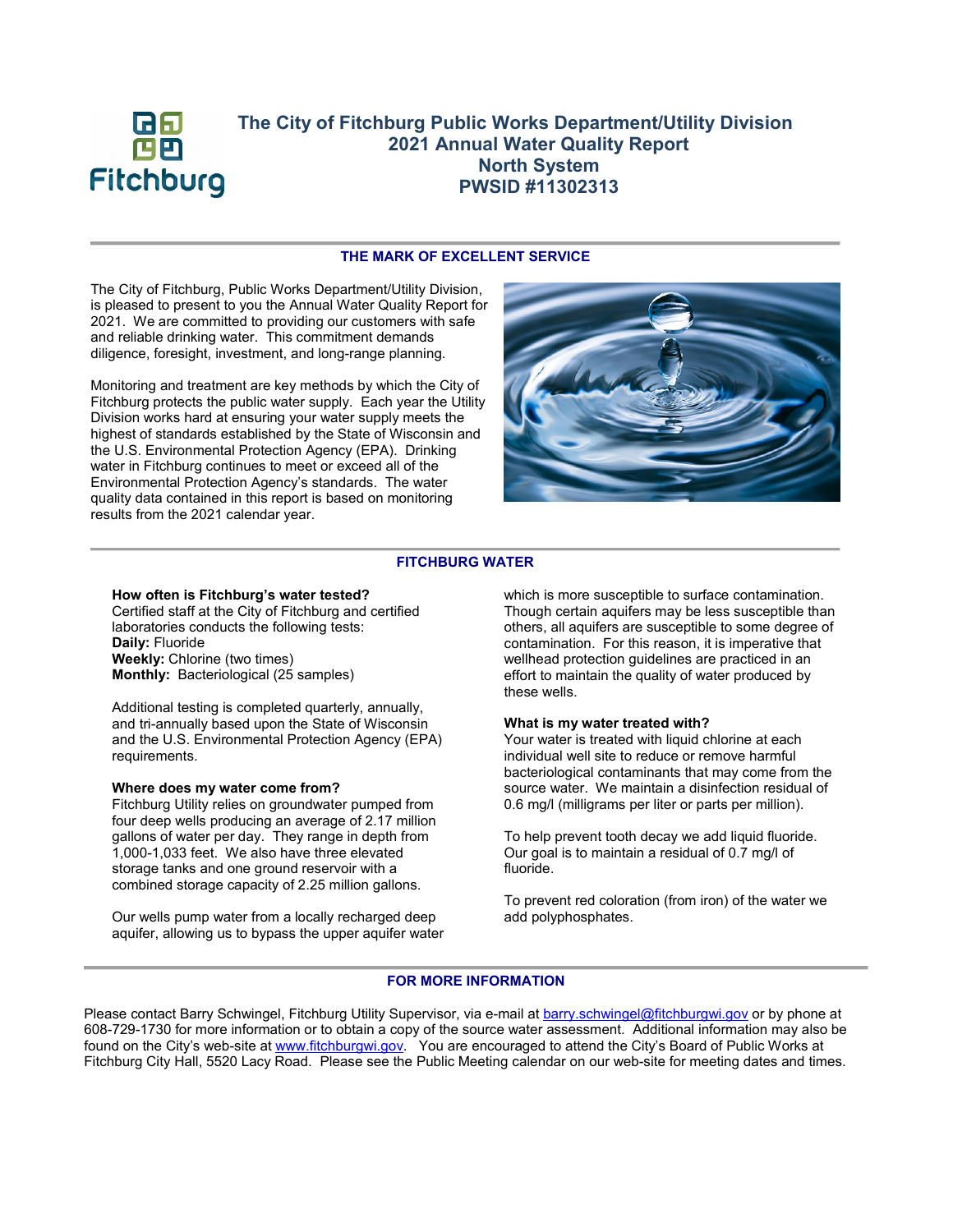

# **The City of Fitchburg Public Works Department/Utility Division 2021 Annual Water Quality Report North System PWSID #11302313**

# **THE MARK OF EXCELLENT SERVICE**

The City of Fitchburg, Public Works Department/Utility Division, is pleased to present to you the Annual Water Quality Report for 2021. We are committed to providing our customers with safe and reliable drinking water. This commitment demands diligence, foresight, investment, and long-range planning.

Monitoring and treatment are key methods by which the City of Fitchburg protects the public water supply. Each year the Utility Division works hard at ensuring your water supply meets the highest of standards established by the State of Wisconsin and the U.S. Environmental Protection Agency (EPA). Drinking water in Fitchburg continues to meet or exceed all of the Environmental Protection Agency's standards. The water quality data contained in this report is based on monitoring results from the 2021 calendar year.



# **FITCHBURG WATER**

#### **How often is Fitchburg's water tested?**

Certified staff at the City of Fitchburg and certified laboratories conducts the following tests: **Daily:** Fluoride **Weekly:** Chlorine (two times) **Monthly:** Bacteriological (25 samples)

Additional testing is completed quarterly, annually, and tri-annually based upon the State of Wisconsin and the U.S. Environmental Protection Agency (EPA) requirements.

#### **Where does my water come from?**

Fitchburg Utility relies on groundwater pumped from four deep wells producing an average of 2.17 million gallons of water per day. They range in depth from 1,000-1,033 feet. We also have three elevated storage tanks and one ground reservoir with a combined storage capacity of 2.25 million gallons.

Our wells pump water from a locally recharged deep aquifer, allowing us to bypass the upper aquifer water which is more susceptible to surface contamination. Though certain aquifers may be less susceptible than others, all aquifers are susceptible to some degree of contamination. For this reason, it is imperative that wellhead protection guidelines are practiced in an effort to maintain the quality of water produced by these wells.

# **What is my water treated with?**

Your water is treated with liquid chlorine at each individual well site to reduce or remove harmful bacteriological contaminants that may come from the source water. We maintain a disinfection residual of 0.6 mg/l (milligrams per liter or parts per million).

To help prevent tooth decay we add liquid fluoride. Our goal is to maintain a residual of 0.7 mg/l of fluoride.

To prevent red coloration (from iron) of the water we add polyphosphates.

## **FOR MORE INFORMATION**

Please contact Barry Schwingel, Fitchburg Utility Supervisor, via e-mail at barry.schwingel@fitchburgwi.gov or by phone at 608-729-1730 for more information or to obtain a copy of the source water assessment. Additional information may also be found on the City's web-site at www.fitchburgwi.gov. You are encouraged to attend the City's Board of Public Works at Fitchburg City Hall, 5520 Lacy Road. Please see the Public Meeting calendar on our web-site for meeting dates and times.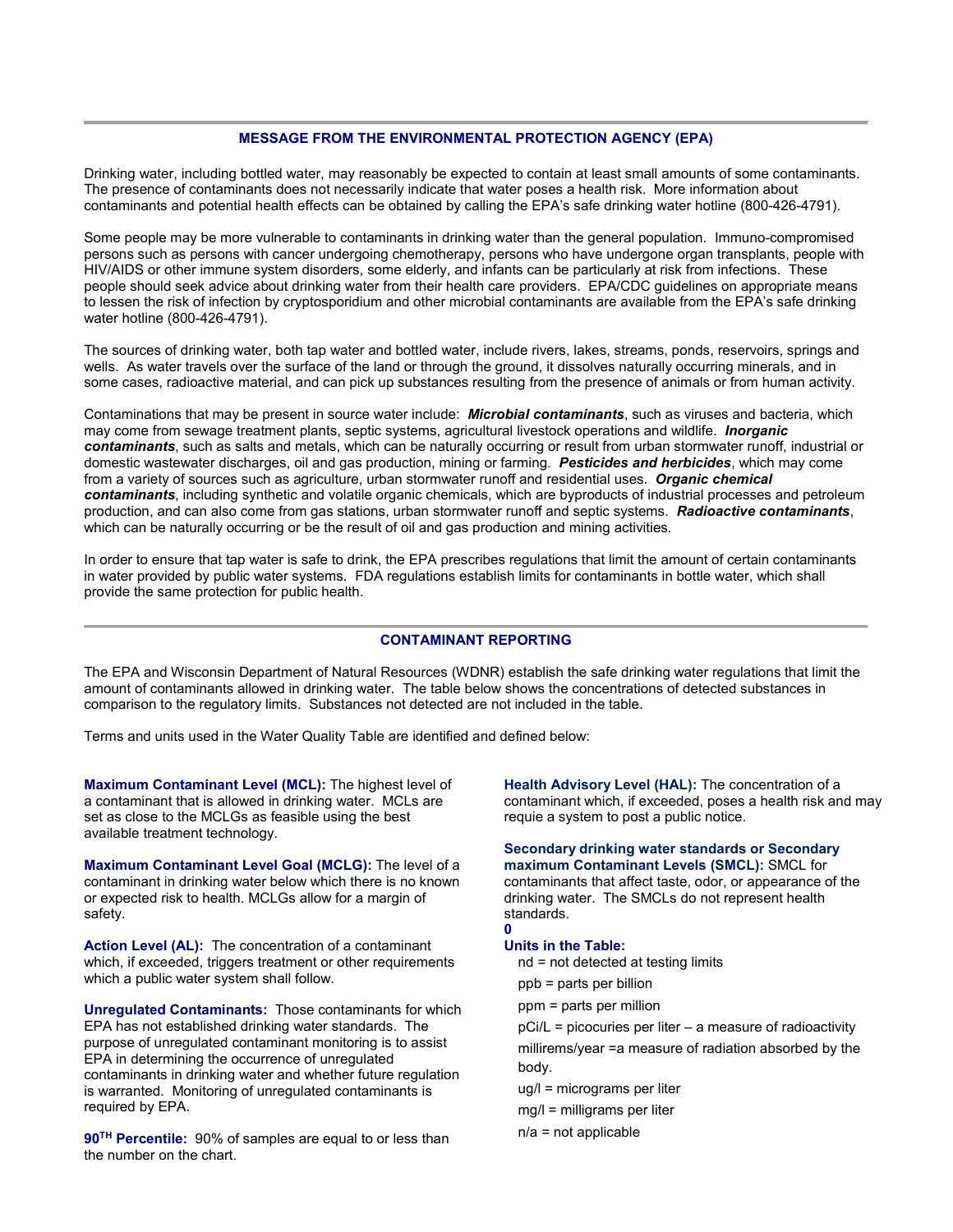# **MESSAGE FROM THE ENVIRONMENTAL PROTECTION AGENCY (EPA)**

Drinking water, including bottled water, may reasonably be expected to contain at least small amounts of some contaminants. The presence of contaminants does not necessarily indicate that water poses a health risk. More information about contaminants and potential health effects can be obtained by calling the EPA's safe drinking water hotline (800-426-4791).

Some people may be more vulnerable to contaminants in drinking water than the general population. Immuno-compromised persons such as persons with cancer undergoing chemotherapy, persons who have undergone organ transplants, people with HIV/AIDS or other immune system disorders, some elderly, and infants can be particularly at risk from infections. These people should seek advice about drinking water from their health care providers. EPA/CDC guidelines on appropriate means to lessen the risk of infection by cryptosporidium and other microbial contaminants are available from the EPA's safe drinking water hotline (800-426-4791).

The sources of drinking water, both tap water and bottled water, include rivers, lakes, streams, ponds, reservoirs, springs and wells. As water travels over the surface of the land or through the ground, it dissolves naturally occurring minerals, and in some cases, radioactive material, and can pick up substances resulting from the presence of animals or from human activity.

Contaminations that may be present in source water include: *Microbial contaminants*, such as viruses and bacteria, which may come from sewage treatment plants, septic systems, agricultural livestock operations and wildlife. *Inorganic contaminants*, such as salts and metals, which can be naturally occurring or result from urban stormwater runoff, industrial or domestic wastewater discharges, oil and gas production, mining or farming. *Pesticides and herbicides*, which may come from a variety of sources such as agriculture, urban stormwater runoff and residential uses. *Organic chemical contaminants*, including synthetic and volatile organic chemicals, which are byproducts of industrial processes and petroleum production, and can also come from gas stations, urban stormwater runoff and septic systems. *Radioactive contaminants*, which can be naturally occurring or be the result of oil and gas production and mining activities.

In order to ensure that tap water is safe to drink, the EPA prescribes regulations that limit the amount of certain contaminants in water provided by public water systems. FDA regulations establish limits for contaminants in bottle water, which shall provide the same protection for public health.

# **CONTAMINANT REPORTING**

The EPA and Wisconsin Department of Natural Resources (WDNR) establish the safe drinking water regulations that limit the amount of contaminants allowed in drinking water. The table below shows the concentrations of detected substances in comparison to the regulatory limits. Substances not detected are not included in the table.

Terms and units used in the Water Quality Table are identified and defined below:

**Maximum Contaminant Level (MCL):** The highest level of a contaminant that is allowed in drinking water. MCLs are set as close to the MCLGs as feasible using the best available treatment technology.

**Maximum Contaminant Level Goal (MCLG):** The level of a contaminant in drinking water below which there is no known or expected risk to health. MCLGs allow for a margin of safety.

**Action Level (AL):** The concentration of a contaminant which, if exceeded, triggers treatment or other requirements which a public water system shall follow.

**Unregulated Contaminants:** Those contaminants for which EPA has not established drinking water standards. The purpose of unregulated contaminant monitoring is to assist EPA in determining the occurrence of unregulated contaminants in drinking water and whether future regulation is warranted. Monitoring of unregulated contaminants is required by EPA.

**90TH Percentile:** 90% of samples are equal to or less than the number on the chart.

**Health Advisory Level (HAL):** The concentration of a contaminant which, if exceeded, poses a health risk and may requie a system to post a public notice.

**Secondary drinking water standards or Secondary maximum Contaminant Levels (SMCL):** SMCL for contaminants that affect taste, odor, or appearance of the drinking water. The SMCLs do not represent health standards.

#### **Units in the Table:**

**0**

nd = not detected at testing limits

ppb = parts per billion

ppm = parts per million

pCi/L = picocuries per liter – a measure of radioactivity

millirems/year =a measure of radiation absorbed by the body.

- ug/l = micrograms per liter
- mg/l = milligrams per liter

n/a = not applicable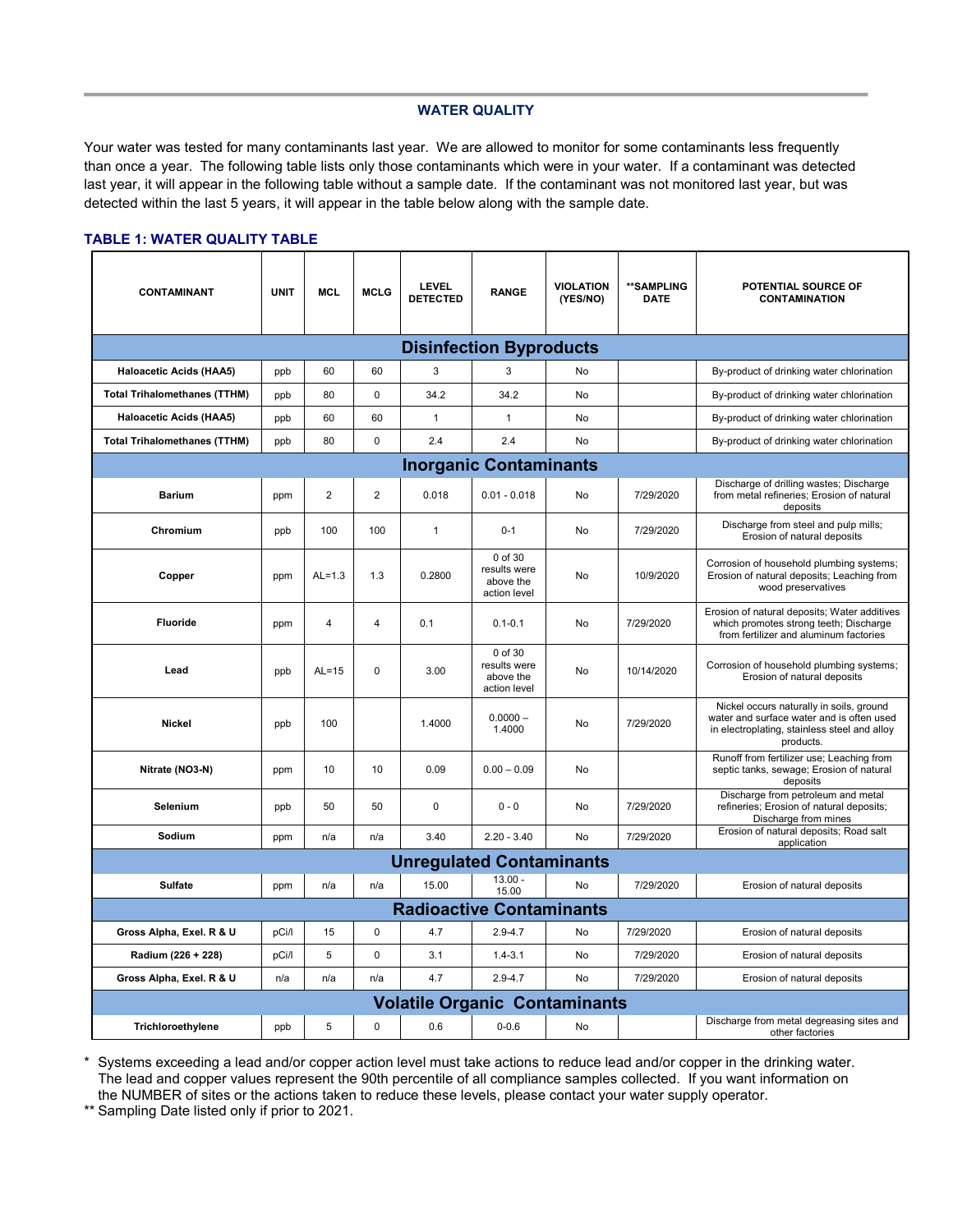# **WATER QUALITY**

Your water was tested for many contaminants last year. We are allowed to monitor for some contaminants less frequently than once a year. The following table lists only those contaminants which were in your water. If a contaminant was detected last year, it will appear in the following table without a sample date. If the contaminant was not monitored last year, but was detected within the last 5 years, it will appear in the table below along with the sample date.

| <b>CONTAMINANT</b>                   | <b>UNIT</b> | <b>MCL</b>     | <b>MCLG</b>    | <b>LEVEL</b><br><b>DETECTED</b> | <b>RANGE</b>                                         | <b>VIOLATION</b><br>(YES/NO) | **SAMPLING<br><b>DATE</b> | <b>POTENTIAL SOURCE OF</b><br><b>CONTAMINATION</b>                                                                                                 |
|--------------------------------------|-------------|----------------|----------------|---------------------------------|------------------------------------------------------|------------------------------|---------------------------|----------------------------------------------------------------------------------------------------------------------------------------------------|
|                                      |             |                |                |                                 | <b>Disinfection Byproducts</b>                       |                              |                           |                                                                                                                                                    |
| Haloacetic Acids (HAA5)              | ppb         | 60             | 60             | 3                               | 3                                                    | No                           |                           | By-product of drinking water chlorination                                                                                                          |
| <b>Total Trihalomethanes (TTHM)</b>  | ppb         | 80             | $\mathbf 0$    | 34.2                            | 34.2                                                 | No                           |                           | By-product of drinking water chlorination                                                                                                          |
| <b>Haloacetic Acids (HAA5)</b>       | ppb         | 60             | 60             | $\mathbf{1}$                    | $\mathbf{1}$                                         | No                           |                           | By-product of drinking water chlorination                                                                                                          |
| <b>Total Trihalomethanes (TTHM)</b>  | ppb         | 80             | $\Omega$       | 2.4                             | 2.4                                                  | No                           |                           | By-product of drinking water chlorination                                                                                                          |
| <b>Inorganic Contaminants</b>        |             |                |                |                                 |                                                      |                              |                           |                                                                                                                                                    |
| <b>Barium</b>                        | ppm         | 2              | $\overline{2}$ | 0.018                           | $0.01 - 0.018$                                       | No                           | 7/29/2020                 | Discharge of drilling wastes; Discharge<br>from metal refineries; Erosion of natural<br>deposits                                                   |
| Chromium                             | ppb         | 100            | 100            | $\mathbf{1}$                    | $0 - 1$                                              | No                           | 7/29/2020                 | Discharge from steel and pulp mills;<br>Erosion of natural deposits                                                                                |
| Copper                               | ppm         | $AL=1.3$       | 1.3            | 0.2800                          | 0 of 30<br>results were<br>above the<br>action level | No                           | 10/9/2020                 | Corrosion of household plumbing systems;<br>Erosion of natural deposits; Leaching from<br>wood preservatives                                       |
| <b>Fluoride</b>                      | ppm         | $\overline{4}$ | $\overline{4}$ | 0.1                             | $0.1 - 0.1$                                          | No                           | 7/29/2020                 | Erosion of natural deposits; Water additives<br>which promotes strong teeth; Discharge<br>from fertilizer and aluminum factories                   |
| Lead                                 | ppb         | $AL=15$        | $\mathbf 0$    | 3.00                            | 0 of 30<br>results were<br>above the<br>action level | No                           | 10/14/2020                | Corrosion of household plumbing systems;<br>Erosion of natural deposits                                                                            |
| <b>Nickel</b>                        | ppb         | 100            |                | 1.4000                          | $0.0000 -$<br>1.4000                                 | No                           | 7/29/2020                 | Nickel occurs naturally in soils, ground<br>water and surface water and is often used<br>in electroplating, stainless steel and alloy<br>products. |
| Nitrate (NO3-N)                      | ppm         | 10             | 10             | 0.09                            | $0.00 - 0.09$                                        | No                           |                           | Runoff from fertilizer use; Leaching from<br>septic tanks, sewage; Erosion of natural<br>deposits                                                  |
| Selenium                             | ppb         | 50             | 50             | $\mathbf 0$                     | $0 - 0$                                              | No                           | 7/29/2020                 | Discharge from petroleum and metal<br>refineries; Erosion of natural deposits;<br>Discharge from mines                                             |
| Sodium                               | ppm         | n/a            | n/a            | 3.40                            | $2.20 - 3.40$                                        | <b>No</b>                    | 7/29/2020                 | Erosion of natural deposits; Road salt<br>application                                                                                              |
| <b>Unregulated Contaminants</b>      |             |                |                |                                 |                                                      |                              |                           |                                                                                                                                                    |
| <b>Sulfate</b>                       | ppm         | n/a            | n/a            | 15.00                           | $13.00 -$<br>15.00                                   | <b>No</b>                    | 7/29/2020                 | Erosion of natural deposits                                                                                                                        |
| <b>Radioactive Contaminants</b>      |             |                |                |                                 |                                                      |                              |                           |                                                                                                                                                    |
| Gross Alpha, Exel. R & U             | pCi/l       | 15             | $\mathbf 0$    | 4.7                             | $2.9 - 4.7$                                          | No                           | 7/29/2020                 | Erosion of natural deposits                                                                                                                        |
| Radium (226 + 228)                   | pCi/l       | 5              | $\mathbf 0$    | 3.1                             | $1.4 - 3.1$                                          | No                           | 7/29/2020                 | Erosion of natural deposits                                                                                                                        |
| Gross Alpha, Exel. R & U             | n/a         | n/a            | n/a            | 4.7                             | $2.9 - 4.7$                                          | No                           | 7/29/2020                 | Erosion of natural deposits                                                                                                                        |
| <b>Volatile Organic Contaminants</b> |             |                |                |                                 |                                                      |                              |                           |                                                                                                                                                    |
| Trichloroethylene                    | ppb         | 5              | $\mathbf 0$    | 0.6                             | $0 - 0.6$                                            | No                           |                           | Discharge from metal degreasing sites and<br>other factories                                                                                       |

# **TABLE 1: WATER QUALITY TABLE**

\* Systems exceeding a lead and/or copper action level must take actions to reduce lead and/or copper in the drinking water. The lead and copper values represent the 90th percentile of all compliance samples collected. If you want information on the NUMBER of sites or the actions taken to reduce these levels, please contact your water supply operator.

\*\* Sampling Date listed only if prior to 2021.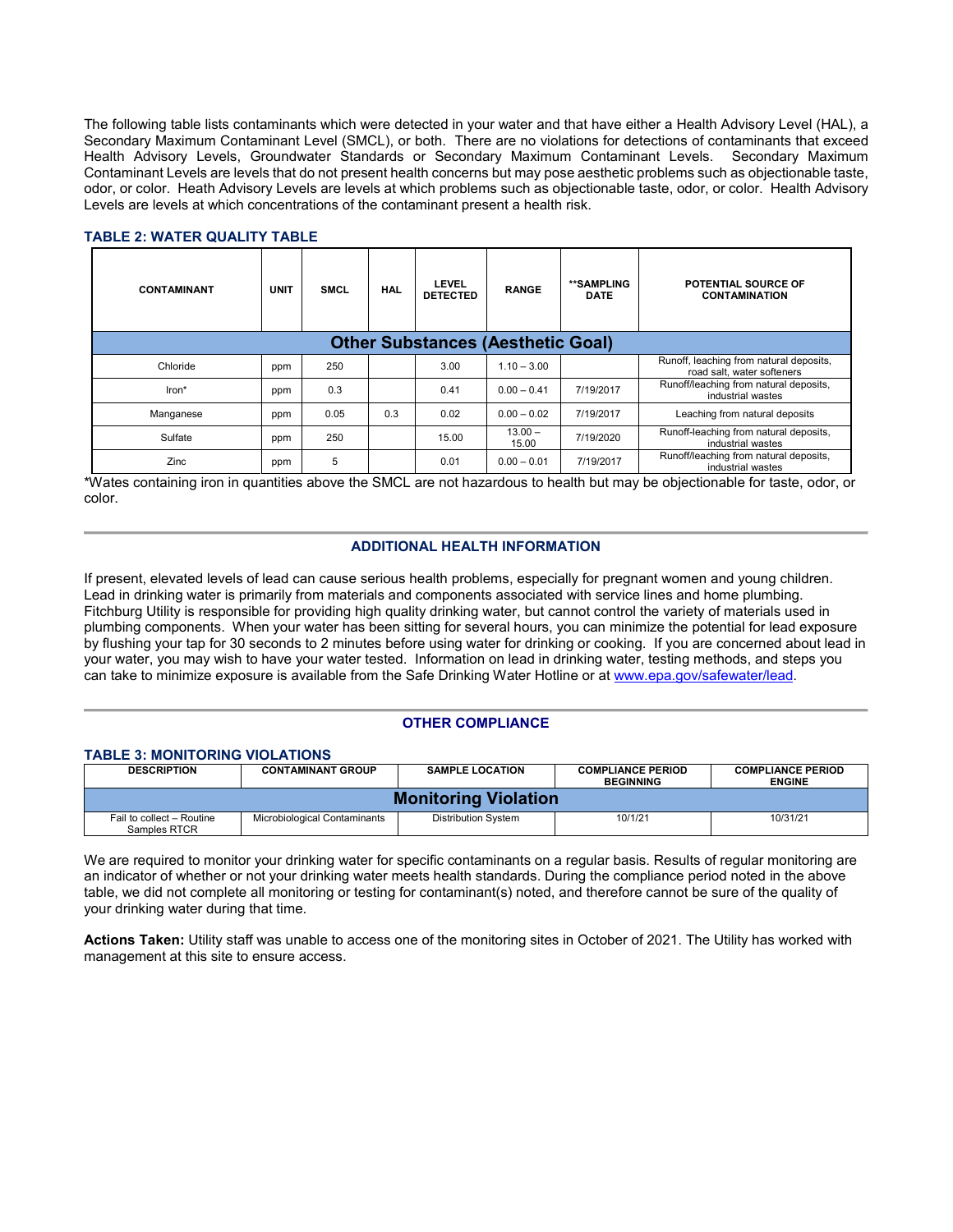The following table lists contaminants which were detected in your water and that have either a Health Advisory Level (HAL), a Secondary Maximum Contaminant Level (SMCL), or both. There are no violations for detections of contaminants that exceed Health Advisory Levels, Groundwater Standards or Secondary Maximum Contaminant Levels. Secondary Maximum Contaminant Levels are levels that do not present health concerns but may pose aesthetic problems such as objectionable taste, odor, or color. Heath Advisory Levels are levels at which problems such as objectionable taste, odor, or color. Health Advisory Levels are levels at which concentrations of the contaminant present a health risk.

| <b>CONTAMINANT</b>                       | <b>UNIT</b> | <b>SMCL</b> | <b>HAL</b> | <b>LEVEL</b><br><b>DETECTED</b> | <b>RANGE</b>       | **SAMPLING<br><b>DATE</b> | <b>POTENTIAL SOURCE OF</b><br><b>CONTAMINATION</b>                    |
|------------------------------------------|-------------|-------------|------------|---------------------------------|--------------------|---------------------------|-----------------------------------------------------------------------|
| <b>Other Substances (Aesthetic Goal)</b> |             |             |            |                                 |                    |                           |                                                                       |
| Chloride                                 | ppm         | 250         |            | 3.00                            | $1.10 - 3.00$      |                           | Runoff, leaching from natural deposits,<br>road salt, water softeners |
| Iron*                                    | ppm         | 0.3         |            | 0.41                            | $0.00 - 0.41$      | 7/19/2017                 | Runoff/leaching from natural deposits,<br>industrial wastes           |
| Manganese                                | ppm         | 0.05        | 0.3        | 0.02                            | $0.00 - 0.02$      | 7/19/2017                 | Leaching from natural deposits                                        |
| Sulfate                                  | ppm         | 250         |            | 15.00                           | $13.00 -$<br>15.00 | 7/19/2020                 | Runoff-leaching from natural deposits,<br>industrial wastes           |
| Zinc                                     | ppm         | 5           |            | 0.01                            | $0.00 - 0.01$      | 7/19/2017                 | Runoff/leaching from natural deposits,<br>industrial wastes           |

# **TABLE 2: WATER QUALITY TABLE**

\*Wates containing iron in quantities above the SMCL are not hazardous to health but may be objectionable for taste, odor, or color.

# **ADDITIONAL HEALTH INFORMATION**

If present, elevated levels of lead can cause serious health problems, especially for pregnant women and young children. Lead in drinking water is primarily from materials and components associated with service lines and home plumbing. Fitchburg Utility is responsible for providing high quality drinking water, but cannot control the variety of materials used in plumbing components. When your water has been sitting for several hours, you can minimize the potential for lead exposure by flushing your tap for 30 seconds to 2 minutes before using water for drinking or cooking. If you are concerned about lead in your water, you may wish to have your water tested. Information on lead in drinking water, testing methods, and steps you can take to minimize exposure is available from the Safe Drinking Water Hotline or at www.epa.gov/safewater/lead.

# **OTHER COMPLIANCE**

#### **TABLE 3: MONITORING VIOLATIONS**

| <b>DESCRIPTION</b>                        | <b>CONTAMINANT GROUP</b>     | <b>SAMPLE LOCATION</b> | <b>COMPLIANCE PERIOD</b><br><b>ENGINE</b> |          |  |  |  |
|-------------------------------------------|------------------------------|------------------------|-------------------------------------------|----------|--|--|--|
| <b>Monitoring Violation</b>               |                              |                        |                                           |          |  |  |  |
| Fail to collect - Routine<br>Samples RTCR | Microbiological Contaminants | Distribution System    | 10/1/21                                   | 10/31/21 |  |  |  |

We are required to monitor your drinking water for specific contaminants on a regular basis. Results of regular monitoring are an indicator of whether or not your drinking water meets health standards. During the compliance period noted in the above table, we did not complete all monitoring or testing for contaminant(s) noted, and therefore cannot be sure of the quality of your drinking water during that time.

**Actions Taken:** Utility staff was unable to access one of the monitoring sites in October of 2021. The Utility has worked with management at this site to ensure access.